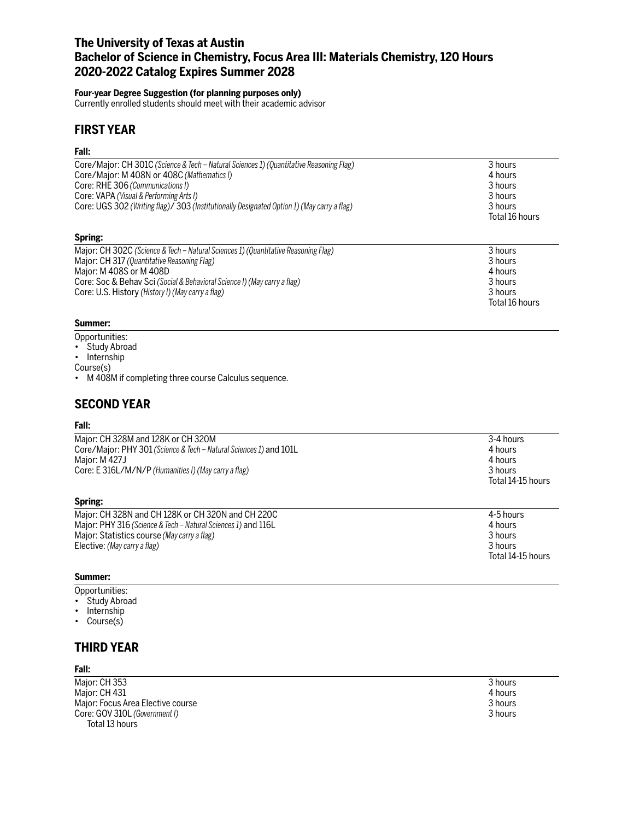# **The University of Texas at Austin Bachelor of Science in Chemistry, Focus Area III: Materials Chemistry, 120 Hours 2020-2022 Catalog Expires Summer 2028**

### **Four-year Degree Suggestion (for planning purposes only)**

Currently enrolled students should meet with their academic advisor

# **FIRST YEAR**

### **Fall:**

| Core/Major: CH 301C (Science & Tech - Natural Sciences 1) (Quantitative Reasoning Flag)    | 3 hours        |
|--------------------------------------------------------------------------------------------|----------------|
| Core/Major: M 408N or 408C (Mathematics I)                                                 | 4 hours        |
| Core: RHE 306 (Communications I)                                                           | 3 hours        |
| Core: VAPA (Visual & Performing Arts I)                                                    | 3 hours        |
| Core: UGS 302 (Writing flag)/ 303 (Institutionally Designated Option 1) (May carry a flag) | 3 hours        |
|                                                                                            | Total 16 hours |
| Spring:                                                                                    |                |
| Major: CH 302C (Science & Tech – Natural Sciences 1) (Quantitative Reasoning Flag)         | 3 hours        |
| Major: CH 317 (Quantitative Reasoning Flag)                                                | 3 hours        |
| Major: M 408S or M 408D                                                                    | 4 hours        |
| Core: Soc & Behav Sci (Social & Behavioral Science I) (May carry a flag)                   | 3 hours        |

Core: U.S. History *(History I) (May carry a flag)* 3 hours

#### **Summer:**

- Opportunities:
- Study Abroad
- Internship

Course(s)

• M 408M if completing three course Calculus sequence.

# **SECOND YEAR**

### **Fall:**

| Spring:                                                                                                                                                                           |                                                                 |
|-----------------------------------------------------------------------------------------------------------------------------------------------------------------------------------|-----------------------------------------------------------------|
| Major: CH 328M and 128K or CH 320M<br>Core/Major: PHY 301 (Science & Tech – Natural Sciences 1) and 101L<br>Maior: M 427J<br>Core: E 316L/M/N/P (Humanities I) (May carry a flag) | 3-4 hours<br>4 hours<br>4 hours<br>3 hours<br>Total 14-15 hours |
|                                                                                                                                                                                   |                                                                 |

| Maior: CH 328N and CH 128K or CH 320N and CH 220C             | 4-5 hours         |
|---------------------------------------------------------------|-------------------|
| Major: PHY 316 (Science & Tech – Natural Sciences 1) and 116L | 4 hours           |
| Major: Statistics course (May carry a flag)                   | 3 hours           |
| Elective: (May carry a flag)                                  | 3 hours           |
|                                                               | Total 14-15 hours |

#### **Summer:**

Opportunities:

- Study Abroad
- Internship
- Course(s)

## **THIRD YEAR**

### **Fall:**

Major: CH 353 3 hours<br>Major: CH 431 4 hours = 2012 12:00 3 hours = 2012 12:00 3 hours = 2012 12:00 3 hours = 2012 12:00 4 hours Major: CH 431 4 hours (1990) 4 hours (1990) 4 hours (1990) 4 hours (1990) 4 hours (1990) 4 hours (1990) 4 hours<br>Major: Focus Area Elective course Major: Focus Area Elective course 3 hours<br>
Core: GOV 310L (Government I) 3 and 3 hours Core: GOV 310L *(Government I)* Total 13 hours

Total 16 hours